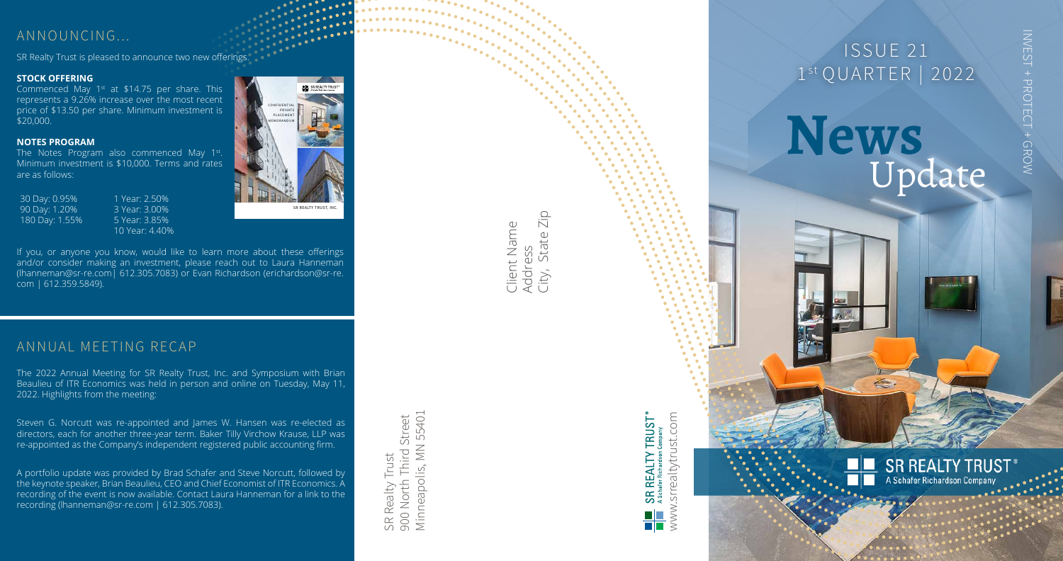# ISSUE 21 1st QUARTER | 2022

State Zip City, State Zip Client Name<br>Address<br>City, State Zi<sub>l</sub> Client Name

Minneapolis, MN 55401 Minneapolis, MN 55401 900 North Third Street 900 North Third Street SR Realty Trust SR Realty Trust

INVEST + PROTECT + GROW INVEST + PROTECT + GROW

#### **SR REALTY TRUST** A Schafer Richardson Company

The 2022 Annual Meeting for SR Realty Trust, Inc. and Symposium with Brian Beaulieu of ITR Economics was held in person and online on Tuesday, May 11, 2022. Highlights from the meeting:



# **News** Update

 $\leq$ 

## ANNUAL MEETING RECAP

Steven G. Norcutt was re-appointed and James W. Hansen was re-elected as directors, each for another three-year term. Baker Tilly Virchow Krause, LLP was re-appointed as the Company's independent registered public accounting firm.

Commenced May  $1<sup>st</sup>$  at \$14.75 per share. This represents a 9.26% increase over the most recent price of \$13.50 per share. Minimum investment is \$20,000.

The Notes Program also commenced May 1st. Minimum investment is \$10,000. Terms and rates are as follows:

A portfolio update was provided by Brad Schafer and Steve Norcutt, followed by the keynote speaker, Brian Beaulieu, CEO and Chief Economist of ITR Economics. A recording of the event is now available. Contact Laura Hanneman for a link to the recording (lhanneman@sr-re.com | 612.305.7083).

CONFIDENTIAL **PRIVATE PLACEMENT** MEMORANDUM

## ANNOUNCING...

SR Realty Trust is pleased to announce two new offerings.

#### **STOCK OFFERING**

#### **NOTES PROGRAM**

30 Day: 0.95% 90 Day: 1.20% 180 Day: 1.55%

1 Year: 2.50% 3 Year: 3.00% 5 Year: 3.85% 10 Year: 4.40%

SR REALTY TRUST, INC.

**WE** SR REALTY TRUST

If you, or anyone you know, would like to learn more about these offerings and/or consider making an investment, please reach out to Laura Hanneman (lhanneman@sr-re.com| 612.305.7083) or Evan Richardson (erichardson@sr-re. com | 612.359.5849).